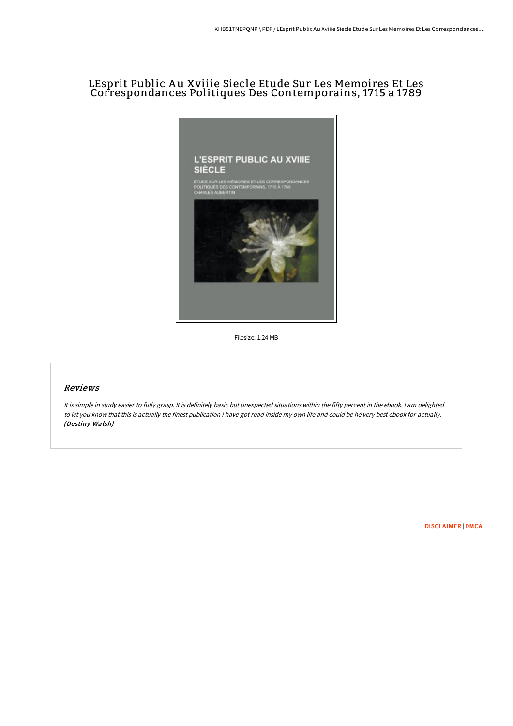# LEsprit Public A u Xviiie Siecle Etude Sur Les Memoires Et Les Correspondances Politiques Des Contemporains, 1715 a 1789



Filesize: 1.24 MB

### Reviews

It is simple in study easier to fully grasp. It is definitely basic but unexpected situations within the fifty percent in the ebook. <sup>I</sup> am delighted to let you know that this is actually the finest publication i have got read inside my own life and could be he very best ebook for actually. (Destiny Walsh)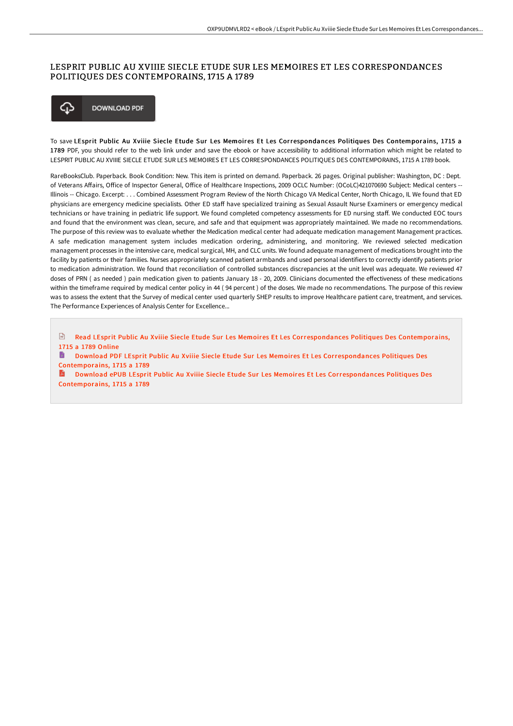### LESPRIT PUBLIC AU XVIIIE SIECLE ETUDE SUR LES MEMOIRES ET LES CORRESPONDANCES POLITIQUES DES CONTEMPORAINS, 17 15 A 1789



To save LEsprit Public Au Xviiie Siecle Etude Sur Les Memoires Et Les Correspondances Politiques Des Contemporains, 1715 a 1789 PDF, you should refer to the web link under and save the ebook or have accessibility to additional information which might be related to LESPRIT PUBLIC AU XVIIIE SIECLE ETUDE SUR LES MEMOIRES ET LES CORRESPONDANCES POLITIQUES DES CONTEMPORAINS, 1715 A 1789 book.

RareBooksClub. Paperback. Book Condition: New. This item is printed on demand. Paperback. 26 pages. Original publisher: Washington, DC : Dept. of Veterans Affairs, Office of Inspector General, Office of Healthcare Inspections, 2009 OCLC Number: (OCoLC)421070690 Subject: Medical centers --Illinois -- Chicago. Excerpt: . . . Combined Assessment Program Review of the North Chicago VA Medical Center, North Chicago, IL We found that ED physicians are emergency medicine specialists. Other ED staff have specialized training as Sexual Assault Nurse Examiners or emergency medical technicians or have training in pediatric life support. We found completed competency assessments for ED nursing staff. We conducted EOC tours and found that the environment was clean, secure, and safe and that equipment was appropriately maintained. We made no recommendations. The purpose of this review was to evaluate whether the Medication medical center had adequate medication management Management practices. A safe medication management system includes medication ordering, administering, and monitoring. We reviewed selected medication management processes in the intensive care, medical surgical, MH, and CLC units. We found adequate management of medications brought into the facility by patients or their families. Nurses appropriately scanned patient armbands and used personal identifiers to correctly identify patients prior to medication administration. We found that reconciliation of controlled substances discrepancies at the unit level was adequate. We reviewed 47 doses of PRN (as needed ) pain medication given to patients January 18 - 20, 2009. Clinicians documented the effectiveness of these medications within the timeframe required by medical center policy in 44 ( 94 percent ) of the doses. We made no recommendations. The purpose of this review was to assess the extent that the Survey of medical center used quarterly SHEP results to improve Healthcare patient care, treatment, and services. The Performance Experiences of Analysis Center for Excellence...

 $\boxed{m}$ Read LEsprit Public Au Xviiie Siecle Etude Sur Les Memoires Et Les [Correspondances](http://techno-pub.tech/lesprit-public-au-xviiie-siecle-etude-sur-les-me.html) Politiques Des Contemporains, 1715 a 1789 Online

Download PDF LEsprit Public Au Xviiie Siecle Etude Sur Les Memoires Et Les [Correspondances](http://techno-pub.tech/lesprit-public-au-xviiie-siecle-etude-sur-les-me.html) Politiques Des Contemporains, 1715 a 1789

E) Download ePUB LEsprit Public Au Xviiie Siecle Etude Sur Les Memoires Et Les [Correspondances](http://techno-pub.tech/lesprit-public-au-xviiie-siecle-etude-sur-les-me.html) Politiques Des Contemporains, 1715 a 1789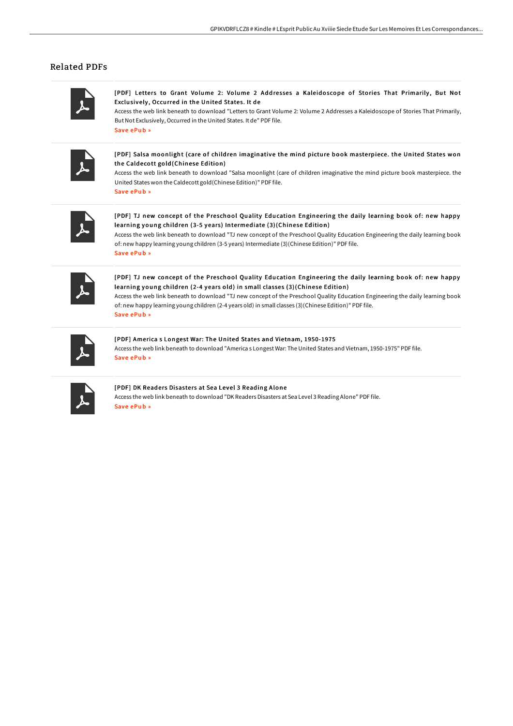## Related PDFs

[PDF] Letters to Grant Volume 2: Volume 2 Addresses a Kaleidoscope of Stories That Primarily, But Not Exclusively , Occurred in the United States. It de

Access the web link beneath to download "Letters to Grant Volume 2: Volume 2 Addresses a Kaleidoscope of Stories That Primarily, But Not Exclusively, Occurred in the United States. It de" PDF file. Save [ePub](http://techno-pub.tech/letters-to-grant-volume-2-volume-2-addresses-a-k.html) »

[PDF] Salsa moonlight ( care of children imaginative the mind picture book masterpiece. the United States won the Caldecott gold(Chinese Edition)

Access the web link beneath to download "Salsa moonlight (care of children imaginative the mind picture book masterpiece. the United States won the Caldecott gold(Chinese Edition)" PDF file. Save [ePub](http://techno-pub.tech/salsa-moonlight-care-of-children-imaginative-the.html) »

[PDF] TJ new concept of the Preschool Quality Education Engineering the daily learning book of: new happy learning young children (3-5 years) Intermediate (3)(Chinese Edition)

Access the web link beneath to download "TJ new concept of the Preschool Quality Education Engineering the daily learning book of: new happy learning young children (3-5 years) Intermediate (3)(Chinese Edition)" PDF file. Save [ePub](http://techno-pub.tech/tj-new-concept-of-the-preschool-quality-educatio-1.html) »

[PDF] TJ new concept of the Preschool Quality Education Engineering the daily learning book of: new happy learning young children (2-4 years old) in small classes (3)(Chinese Edition)

Access the web link beneath to download "TJ new concept of the Preschool Quality Education Engineering the daily learning book of: new happy learning young children (2-4 years old) in small classes (3)(Chinese Edition)" PDF file. Save [ePub](http://techno-pub.tech/tj-new-concept-of-the-preschool-quality-educatio-2.html) »

[PDF] America s Longest War: The United States and Vietnam, 1950-1975 Access the web link beneath to download "America s Longest War: The United States and Vietnam, 1950-1975" PDF file. Save [ePub](http://techno-pub.tech/america-s-longest-war-the-united-states-and-viet.html) »

### [PDF] DK Readers Disasters at Sea Level 3 Reading Alone

Access the web link beneath to download "DK Readers Disasters at Sea Level 3 Reading Alone" PDF file. Save [ePub](http://techno-pub.tech/dk-readers-disasters-at-sea-level-3-reading-alon.html) »